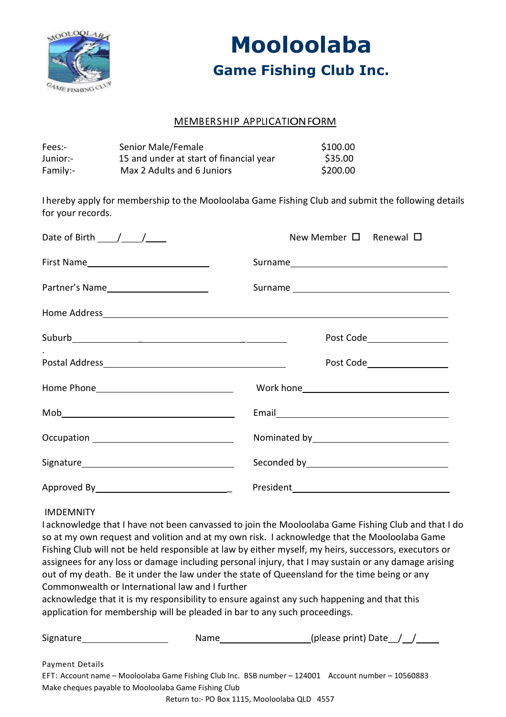

# **Mooloolaba Game Fishing Club Inc.**

### MEMBERSHIP APPLICATIONFORM

| Fees:-   | Senior Male/Female                      | \$100.00 |
|----------|-----------------------------------------|----------|
| Junior:- | 15 and under at start of financial year | \$35.00  |
| Family:- | Max 2 Adults and 6 Juniors              | \$200.00 |

I hereby apply for membership to the Mooloolaba Game Fishing Club and submit the following details for your records.

| Date of Birth $\_\_\_\_\_\_\_\_\_\_\_\_\_\_\_\_\_\_\_\_\_\_\_\_\_\_\_\_$                                                                                                                                                                                                                                                                                           | New Member $\square$ Renewal $\square$                                                                         |
|--------------------------------------------------------------------------------------------------------------------------------------------------------------------------------------------------------------------------------------------------------------------------------------------------------------------------------------------------------------------|----------------------------------------------------------------------------------------------------------------|
|                                                                                                                                                                                                                                                                                                                                                                    |                                                                                                                |
|                                                                                                                                                                                                                                                                                                                                                                    |                                                                                                                |
|                                                                                                                                                                                                                                                                                                                                                                    |                                                                                                                |
|                                                                                                                                                                                                                                                                                                                                                                    | Post Code Post Code                                                                                            |
|                                                                                                                                                                                                                                                                                                                                                                    | Post Code___________________                                                                                   |
|                                                                                                                                                                                                                                                                                                                                                                    |                                                                                                                |
| $\begin{picture}(150,10) \put(0,0){\vector(1,0){100}} \put(15,0){\vector(1,0){100}} \put(15,0){\vector(1,0){100}} \put(15,0){\vector(1,0){100}} \put(15,0){\vector(1,0){100}} \put(15,0){\vector(1,0){100}} \put(15,0){\vector(1,0){100}} \put(15,0){\vector(1,0){100}} \put(15,0){\vector(1,0){100}} \put(15,0){\vector(1,0){100}} \put(15,0){\vector(1,0){100}}$ |                                                                                                                |
|                                                                                                                                                                                                                                                                                                                                                                    |                                                                                                                |
|                                                                                                                                                                                                                                                                                                                                                                    | Seconded by Seconded by Seconded by Seconded by Seconded by Seconded and Seconded Seconded Seconded Seconded S |
|                                                                                                                                                                                                                                                                                                                                                                    |                                                                                                                |

#### IMDEMNITY

I acknowledge that I have not been canvassed to join the Mooloolaba Game Fishing Club and that I do so at my own request and volition and at my own risk. I acknowledge that the Mooloolaba Game Fishing Club will not be held responsible at law by either myself, my heirs, successors, executors or assignees for any loss or damage including personal injury, that I may sustain or any damage arising out of my death. Be it under the law under the state of Queensland for the time being or any Commonwealth or International law and I further

acknowledge that it is my responsibility to ensure against any such happening and that this application for membership will be pleaded in bar to any such proceedings.

| Signature                                            | <b>Name</b> | (please print) Date $\angle$                                                                        |
|------------------------------------------------------|-------------|-----------------------------------------------------------------------------------------------------|
| Payment Details                                      |             |                                                                                                     |
|                                                      |             | EFT: Account name – Mooloolaba Game Fishing Club Inc. BSB number – 124001 Account number – 10560883 |
| Make cheques payable to Mooloolaba Game Fishing Club |             |                                                                                                     |
|                                                      |             |                                                                                                     |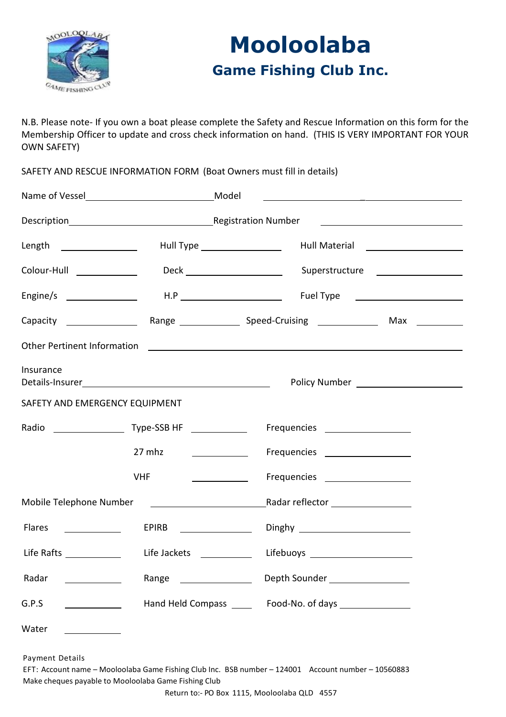

# **Mooloolaba Game Fishing Club Inc.**

N.B. Please note- If you own a boat please complete the Safety and Rescue Information on this form for the Membership Officer to update and cross check information on hand. (THIS IS VERY IMPORTANT FOR YOUR OWN SAFETY)

SAFETY AND RESCUE INFORMATION FORM (Boat Owners must fill in details)

|                                    |                                                                                                                     | <u> 1989 - Andrea Stadt, amerikansk politiker (d. 1989)</u>                                                                                                                                                                          |  |  |
|------------------------------------|---------------------------------------------------------------------------------------------------------------------|--------------------------------------------------------------------------------------------------------------------------------------------------------------------------------------------------------------------------------------|--|--|
|                                    |                                                                                                                     |                                                                                                                                                                                                                                      |  |  |
| Length _________________           |                                                                                                                     | Hull Material <u>New York and Theory and Theory and Theory and Theory and Theory and Theory and Theory and Theory</u><br>Hull Type ____________________                                                                              |  |  |
| Colour-Hull _____________          |                                                                                                                     | Superstructure <b>contains the contract of the contract of the contract of the contract of the contract of the contract of the contract of the contract of the contract of the contract of the contract of the contract of the c</b> |  |  |
|                                    |                                                                                                                     |                                                                                                                                                                                                                                      |  |  |
|                                    |                                                                                                                     |                                                                                                                                                                                                                                      |  |  |
| <b>Other Pertinent Information</b> |                                                                                                                     | <u> 1980 - John Amerikaanse kommunister († 1901)</u>                                                                                                                                                                                 |  |  |
| Insurance                          | Details-Insurer and the contract of the contract of the contract of the contract of the contract of the contract of |                                                                                                                                                                                                                                      |  |  |
| SAFETY AND EMERGENCY EQUIPMENT     |                                                                                                                     |                                                                                                                                                                                                                                      |  |  |
|                                    |                                                                                                                     | Frequencies ___________________                                                                                                                                                                                                      |  |  |
|                                    | 27 mhz                                                                                                              | Frequencies __________________                                                                                                                                                                                                       |  |  |
|                                    | <b>VHF</b>                                                                                                          | Frequencies __________________                                                                                                                                                                                                       |  |  |
|                                    |                                                                                                                     |                                                                                                                                                                                                                                      |  |  |
| Flares                             |                                                                                                                     |                                                                                                                                                                                                                                      |  |  |
|                                    |                                                                                                                     |                                                                                                                                                                                                                                      |  |  |
| Radar                              |                                                                                                                     |                                                                                                                                                                                                                                      |  |  |
| G.P.S                              | Hand Held Compass _____                                                                                             | Food-No. of days<br><u>Food-No. of days</u>                                                                                                                                                                                          |  |  |
| Water                              |                                                                                                                     |                                                                                                                                                                                                                                      |  |  |

Payment Details

EFT: Account name – Mooloolaba Game Fishing Club Inc. BSB number – 124001 Account number – 10560883 Make cheques payable to Mooloolaba Game Fishing Club